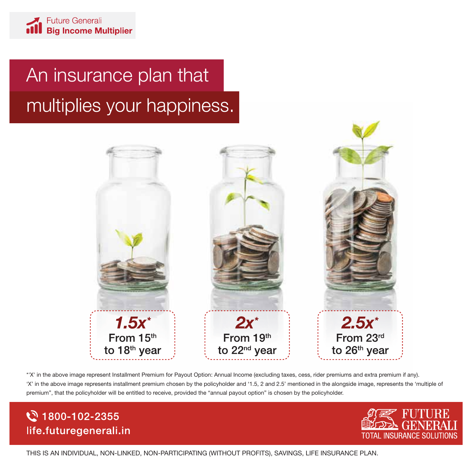# An insurance plan that multiplies your happiness.



\*'X' in the above image represent Installment Premium for Payout Option: Annual Income (excluding taxes, cess, rider premiums and extra premium if any). 'X' in the above image represents installment premium chosen by the policyholder and '1.5, 2 and 2.5' mentioned in the alongside image, represents the 'multiple of premium", that the policyholder will be entitled to receive, provided the "annual payout option" is chosen by the policyholder.

## ☆ 1800-102-2355 life.futuregenerali.in



THIS IS AN INDIVIDUAL, NON-LINKED, NON-PARTICIPATING (WITHOUT PROFITS), SAVINGS, LIFE INSURANCE PLAN.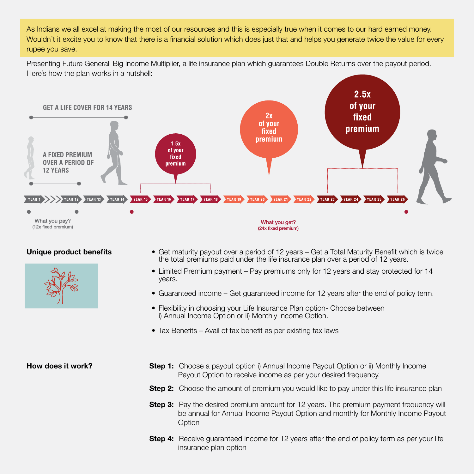As Indians we all excel at making the most of our resources and this is especially true when it comes to our hard earned money. Wouldn't it excite you to know that there is a financial solution which does just that and helps you generate twice the value for every rupee you save.

Presenting Future Generali Big Income Multiplier, a life insurance plan which guarantees Double Returns over the payout period. Here's how the plan works in a nutshell:





- **Unique product benefits** Get maturity payout over a period of 12 years Get a Total Maturity Benefit which is twice the total premiums paid under the life insurance plan over a period of 12 years.
	- Limited Premium payment Pay premiums only for 12 years and stay protected for 14 years.
	- Guaranteed income Get guaranteed income for 12 years after the end of policy term.
	- Flexibility in choosing your Life Insurance Plan option- Choose between i) Annual Income Option or ii) Monthly Income Option.
	- Tax Benefits Avail of tax benefit as per existing tax laws

- **How does it work?** Step 1: Choose a payout option i) Annual Income Payout Option or ii) Monthly Income Payout Option to receive income as per your desired frequency.
	- **Step 2:** Choose the amount of premium you would like to pay under this life insurance plan
	- **Step 3:** Pay the desired premium amount for 12 years. The premium payment frequency will be annual for Annual Income Payout Option and monthly for Monthly Income Payout **Option**
	- **Step 4:** Receive guaranteed income for 12 years after the end of policy term as per your life insurance plan option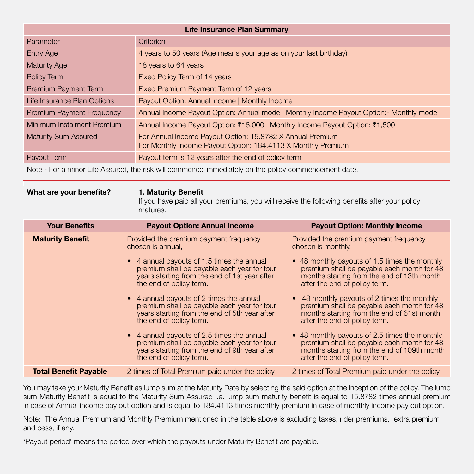| <b>Life Insurance Plan Summary</b> |                                                                                                                           |  |
|------------------------------------|---------------------------------------------------------------------------------------------------------------------------|--|
| Parameter                          | Criterion                                                                                                                 |  |
| <b>Entry Age</b>                   | 4 years to 50 years (Age means your age as on your last birthday)                                                         |  |
| <b>Maturity Age</b>                | 18 years to 64 years                                                                                                      |  |
| Policy Term                        | Fixed Policy Term of 14 years                                                                                             |  |
| Premium Payment Term               | Fixed Premium Payment Term of 12 years                                                                                    |  |
| Life Insurance Plan Options        | Payout Option: Annual Income   Monthly Income                                                                             |  |
| <b>Premium Payment Frequency</b>   | Annual Income Payout Option: Annual mode   Monthly Income Payout Option: - Monthly mode                                   |  |
| Minimum Instalment Premium         | Annual Income Payout Option: ₹18,000   Monthly Income Payout Option: ₹1,500                                               |  |
| <b>Maturity Sum Assured</b>        | For Annual Income Payout Option: 15.8782 X Annual Premium<br>For Monthly Income Payout Option: 184.4113 X Monthly Premium |  |
| Payout Term                        | Payout term is 12 years after the end of policy term                                                                      |  |
|                                    |                                                                                                                           |  |

Note - For a minor Life Assured, the risk will commence immediately on the policy commencement date.

### What are your benefits? 1. Maturity Benefit

If you have paid all your premiums, you will receive the following benefits after your policy matures.

| <b>Your Benefits</b>         | <b>Payout Option: Annual Income</b>                                                                                                                                   | <b>Payout Option: Monthly Income</b>                                                                                                                                        |
|------------------------------|-----------------------------------------------------------------------------------------------------------------------------------------------------------------------|-----------------------------------------------------------------------------------------------------------------------------------------------------------------------------|
| <b>Maturity Benefit</b>      | Provided the premium payment frequency<br>chosen is annual,                                                                                                           | Provided the premium payment frequency<br>chosen is monthly,                                                                                                                |
|                              | • 4 annual payouts of 1.5 times the annual<br>premium shall be payable each year for four<br>years starting from the end of 1st year after<br>the end of policy term. | • 48 monthly payouts of 1.5 times the monthly<br>premium shall be payable each month for 48<br>months starting from the end of 13th month<br>after the end of policy term.  |
|                              | • 4 annual payouts of 2 times the annual<br>premium shall be payable each year for four<br>years starting from the end of 5th year after<br>the end of policy term.   | • 48 monthly payouts of 2 times the monthly<br>premium shall be payable each month for 48<br>months starting from the end of 61st month<br>after the end of policy term.    |
|                              | • 4 annual payouts of 2.5 times the annual<br>premium shall be payable each year for four<br>years starting from the end of 9th year after<br>the end of policy term. | • 48 monthly payouts of 2.5 times the monthly<br>premium shall be payable each month for 48<br>months starting from the end of 109th month<br>after the end of policy term. |
| <b>Total Benefit Payable</b> | 2 times of Total Premium paid under the policy                                                                                                                        | 2 times of Total Premium paid under the policy                                                                                                                              |

You may take your Maturity Benefit as lump sum at the Maturity Date by selecting the said option at the inception of the policy. The lump sum Maturity Benefit is equal to the Maturity Sum Assured i.e. lump sum maturity benefit is equal to 15.8782 times annual premium in case of Annual income pay out option and is equal to 184.4113 times monthly premium in case of monthly income pay out option.

Note: The Annual Premium and Monthly Premium mentioned in the table above is excluding taxes, rider premiums, extra premium and cess, if any.

'Payout period' means the period over which the payouts under Maturity Benefit are payable.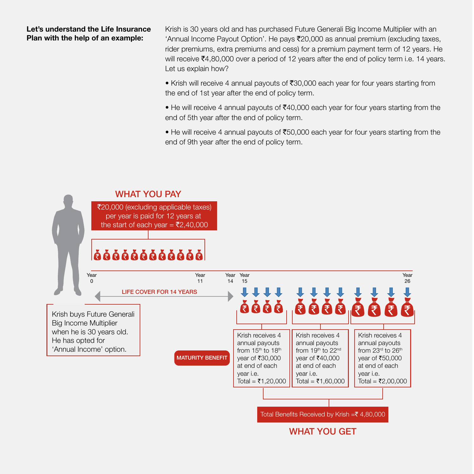### Let's understand the Life Insurance Plan with the help of an example:

Krish is 30 years old and has purchased Future Generali Big Income Multiplier with an 'Annual Income Payout Option'. He pays  $\overline{\mathcal{F}}$ 20,000 as annual premium (excluding taxes, rider premiums, extra premiums and cess) for a premium payment term of 12 years. He will receive  $\bar{\mathcal{F}}$ 4,80,000 over a period of 12 years after the end of policy term i.e. 14 years. Let us explain how?

• Krish will receive 4 annual payouts of  $\overline{30,000}$  each year for four years starting from the end of 1st year after the end of policy term.

• He will receive 4 annual payouts of  $\bar{\mathfrak{g}}40,000$  each year for four years starting from the end of 5th year after the end of policy term.

• He will receive 4 annual payouts of  $\bar{z}50,000$  each year for four years starting from the end of 9th year after the end of policy term.

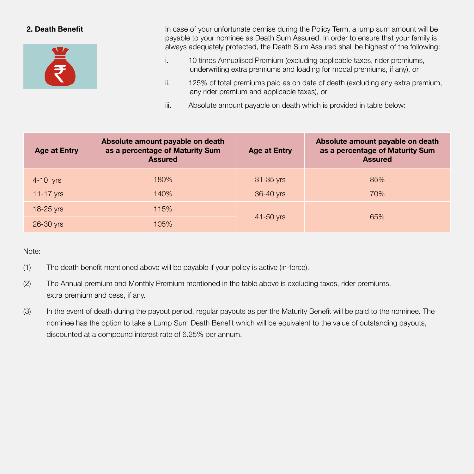

**2. Death Benefit In case of your unfortunate demise during the Policy Term, a lump sum amount will be** payable to your nominee as Death Sum Assured. In order to ensure that your family is always adequately protected, the Death Sum Assured shall be highest of the following:

- i. 10 times Annualised Premium (excluding applicable taxes, rider premiums, underwriting extra premiums and loading for modal premiums, if any), or
- ii. 125% of total premiums paid as on date of death (excluding any extra premium, any rider premium and applicable taxes), or
- iii. Absolute amount payable on death which is provided in table below:

| <b>Age at Entry</b> | Absolute amount payable on death<br>as a percentage of Maturity Sum<br><b>Assured</b> | <b>Age at Entry</b> | Absolute amount payable on death<br>as a percentage of Maturity Sum<br><b>Assured</b> |
|---------------------|---------------------------------------------------------------------------------------|---------------------|---------------------------------------------------------------------------------------|
| $4-10$ yrs          | 180%                                                                                  | $31 - 35$ yrs       | 85%                                                                                   |
| $11-17$ yrs         | 140%                                                                                  | 36-40 yrs           | 70%                                                                                   |
| 18-25 yrs           | 115%                                                                                  |                     |                                                                                       |
| 26-30 yrs           | 105%                                                                                  | 65%<br>41-50 yrs    |                                                                                       |

### Note:

- (1) The death benefit mentioned above will be payable if your policy is active (in-force).
- (2) The Annual premium and Monthly Premium mentioned in the table above is excluding taxes, rider premiums, extra premium and cess, if any.
- (3) In the event of death during the payout period, regular payouts as per the Maturity Benefit will be paid to the nominee. The nominee has the option to take a Lump Sum Death Benefit which will be equivalent to the value of outstanding payouts, discounted at a compound interest rate of 6.25% per annum.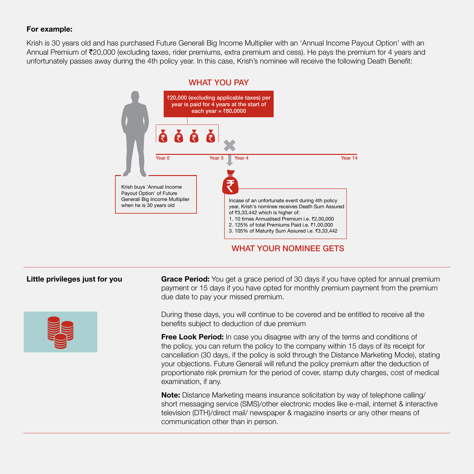### For example:

Krish is 30 years old and has purchased Future Generali Big Income Multiplier with an 'Annual Income Payout Option' with an Annual Premium of ₹20,000 (excluding taxes, rider premiums, extra premium and cess). He pays the premium for 4 years and unfortunately passes away during the 4th policy year. In this case, Krish's nominee will receive the following Death Benefit:







Little privileges just for you Grace Period: You get a grace period of 30 days if you have opted for annual premium payment or 15 days if you have opted for monthly premium payment from the premium due date to pay your missed premium.

> During these days, you will continue to be covered and be entitled to receive all the benefits subject to deduction of due premium

**Free Look Period:** In case you disagree with any of the terms and conditions of the policy, you can return the policy to the company within 15 days of its receipt for cancellation (30 days, if the policy is sold through the Distance Marketing Mode), stating your objections. Future Generali will refund the policy premium after the deduction of proportionate risk premium for the period of cover, stamp duty charges, cost of medical examination, if any.

**Note:** Distance Marketing means insurance solicitation by way of telephone calling/ short messaging service (SMS)/other electronic modes like e-mail, internet & interactive television (DTH)/direct mail/ newspaper & magazine inserts or any other means of communication other than in person.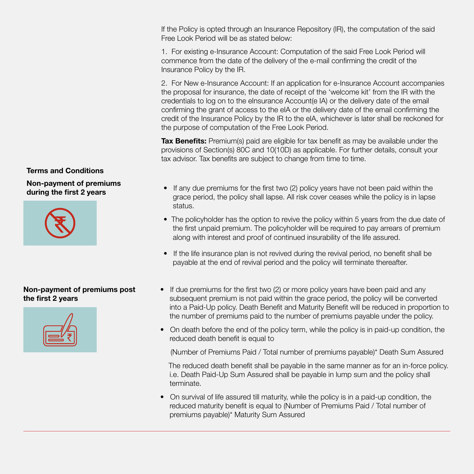If the Policy is opted through an Insurance Repository (IR), the computation of the said Free Look Period will be as stated below:

1. For existing e-Insurance Account: Computation of the said Free Look Period will commence from the date of the delivery of the e-mail confirming the credit of the Insurance Policy by the IR.

2. For New e-Insurance Account: If an application for e-Insurance Account accompanies the proposal for insurance, the date of receipt of the 'welcome kit' from the IR with the credentials to log on to the eInsurance Account(e IA) or the delivery date of the email confirming the grant of access to the eIA or the delivery date of the email confirming the credit of the Insurance Policy by the IR to the eIA, whichever is later shall be reckoned for the purpose of computation of the Free Look Period.

**Tax Benefits:** Premium(s) paid are eligible for tax benefit as may be available under the provisions of Section(s) 80C and 10(10D) as applicable. For further details, consult your tax advisor. Tax benefits are subject to change from time to time.

- during the first 2 years If any due premiums for the first two (2) policy years have not been paid within the grace period, the policy shall lapse. All risk cover ceases while the policy is in lapse status.
	- The policyholder has the option to revive the policy within 5 years from the due date of the first unpaid premium. The policyholder will be required to pay arrears of premium along with interest and proof of continued insurability of the life assured.
	- If the life insurance plan is not revived during the revival period, no benefit shall be payable at the end of revival period and the policy will terminate thereafter.
	- If due premiums for the first two (2) or more policy years have been paid and any subsequent premium is not paid within the grace period, the policy will be converted into a Paid-Up policy. Death Benefit and Maturity Benefit will be reduced in proportion to the number of premiums paid to the number of premiums payable under the policy.
	- On death before the end of the policy term, while the policy is in paid-up condition, the reduced death benefit is equal to

(Number of Premiums Paid / Total number of premiums payable)\* Death Sum Assured

 The reduced death benefit shall be payable in the same manner as for an in-force policy. i.e. Death Paid-Up Sum Assured shall be payable in lump sum and the policy shall terminate.

• On survival of life assured till maturity, while the policy is in a paid-up condition, the reduced maturity benefit is equal to (Number of Premiums Paid / Total number of premiums payable)\* Maturity Sum Assured

### Terms and Conditions

Non-payment of premiums



### Non-payment of premiums post the first 2 years

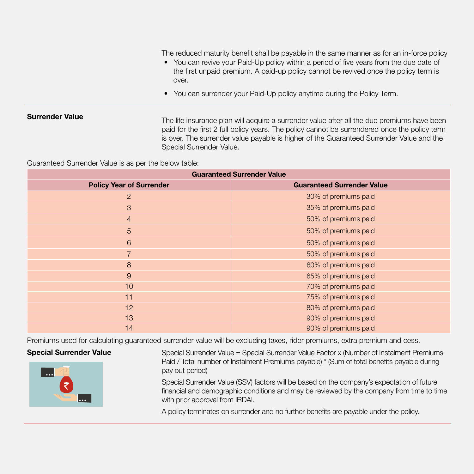The reduced maturity benefit shall be payable in the same manner as for an in-force policy

- You can revive your Paid-Up policy within a period of five years from the due date of the first unpaid premium. A paid-up policy cannot be revived once the policy term is over.
- You can surrender your Paid-Up policy anytime during the Policy Term.

**Surrender Value** The life insurance plan will acquire a surrender value after all the due premiums have been paid for the first 2 full policy years. The policy cannot be surrendered once the policy term is over. The surrender value payable is higher of the Guaranteed Surrender Value and the Special Surrender Value.

Guaranteed Surrender Value is as per the below table:

| <b>Guaranteed Surrender Value</b> |                                   |  |  |
|-----------------------------------|-----------------------------------|--|--|
| <b>Policy Year of Surrender</b>   | <b>Guaranteed Surrender Value</b> |  |  |
| 2                                 | 30% of premiums paid              |  |  |
| 3                                 | 35% of premiums paid              |  |  |
| $\overline{4}$                    | 50% of premiums paid              |  |  |
| $\overline{5}$                    | 50% of premiums paid              |  |  |
| 6                                 | 50% of premiums paid              |  |  |
| $\overline{7}$                    | 50% of premiums paid              |  |  |
| 8                                 | 60% of premiums paid              |  |  |
| 9                                 | 65% of premiums paid              |  |  |
| 10                                | 70% of premiums paid              |  |  |
| 11                                | 75% of premiums paid              |  |  |
| 12                                | 80% of premiums paid              |  |  |
| 13                                | 90% of premiums paid              |  |  |
| 14                                | 90% of premiums paid              |  |  |

Premiums used for calculating guaranteed surrender value will be excluding taxes, rider premiums, extra premium and cess.



Special Surrender Value Special Surrender Value = Special Surrender Value Factor x (Number of Instalment Premiums Paid / Total number of Instalment Premiums payable) \* (Sum of total benefits payable during pay out period)

> Special Surrender Value (SSV) factors will be based on the company's expectation of future financial and demographic conditions and may be reviewed by the company from time to time with prior approval from IRDAI.

A policy terminates on surrender and no further benefits are payable under the policy.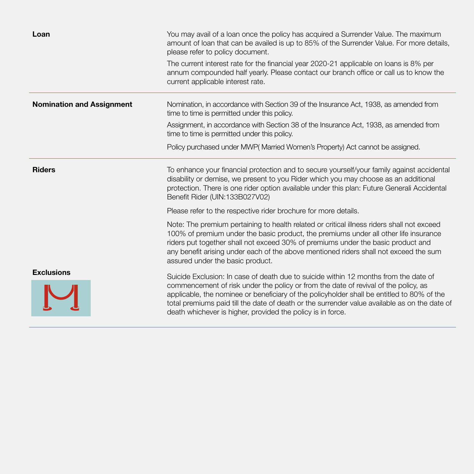| Loan                             | You may avail of a loan once the policy has acquired a Surrender Value. The maximum<br>amount of loan that can be availed is up to 85% of the Surrender Value. For more details,<br>please refer to policy document.                                                                                                                                                                                                                      |
|----------------------------------|-------------------------------------------------------------------------------------------------------------------------------------------------------------------------------------------------------------------------------------------------------------------------------------------------------------------------------------------------------------------------------------------------------------------------------------------|
|                                  | The current interest rate for the financial year 2020-21 applicable on loans is 8% per<br>annum compounded half yearly. Please contact our branch office or call us to know the<br>current applicable interest rate.                                                                                                                                                                                                                      |
| <b>Nomination and Assignment</b> | Nomination, in accordance with Section 39 of the Insurance Act, 1938, as amended from<br>time to time is permitted under this policy.                                                                                                                                                                                                                                                                                                     |
|                                  | Assignment, in accordance with Section 38 of the Insurance Act, 1938, as amended from<br>time to time is permitted under this policy.                                                                                                                                                                                                                                                                                                     |
|                                  | Policy purchased under MWP(Married Women's Property) Act cannot be assigned.                                                                                                                                                                                                                                                                                                                                                              |
| <b>Riders</b>                    | To enhance your financial protection and to secure yourself/your family against accidental<br>disability or demise, we present to you Rider which you may choose as an additional<br>protection. There is one rider option available under this plan: Future Generali Accidental<br>Benefit Rider (UIN:133B027V02)                                                                                                                        |
|                                  | Please refer to the respective rider brochure for more details.                                                                                                                                                                                                                                                                                                                                                                           |
|                                  | Note: The premium pertaining to health related or critical illness riders shall not exceed<br>100% of premium under the basic product, the premiums under all other life insurance<br>riders put together shall not exceed 30% of premiums under the basic product and<br>any benefit arising under each of the above mentioned riders shall not exceed the sum<br>assured under the basic product.                                       |
| <b>Exclusions</b>                | Suicide Exclusion: In case of death due to suicide within 12 months from the date of<br>commencement of risk under the policy or from the date of revival of the policy, as<br>applicable, the nominee or beneficiary of the policyholder shall be entitled to 80% of the<br>total premiums paid till the date of death or the surrender value available as on the date of<br>death whichever is higher, provided the policy is in force. |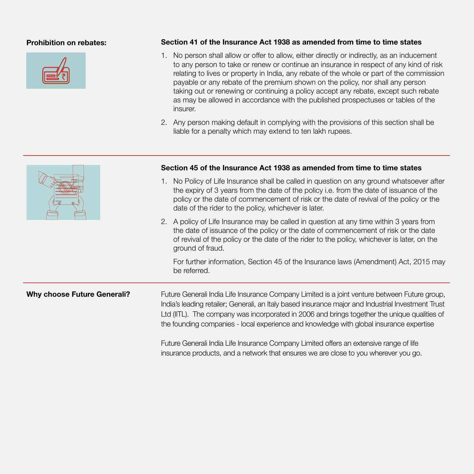

### Prohibition on rebates: Section 41 of the Insurance Act 1938 as amended from time to time states

- 1. No person shall allow or offer to allow, either directly or indirectly, as an inducement to any person to take or renew or continue an insurance in respect of any kind of risk relating to lives or property in India, any rebate of the whole or part of the commission payable or any rebate of the premium shown on the policy, nor shall any person taking out or renewing or continuing a policy accept any rebate, except such rebate as may be allowed in accordance with the published prospectuses or tables of the insurer.
- 2. Any person making default in complying with the provisions of this section shall be liable for a penalty which may extend to ten lakh rupees.

|                                    | Section 45 of the Insurance Act 1938 as amended from time to time states                                                                                                                                                                                                                                                                                                                       |  |
|------------------------------------|------------------------------------------------------------------------------------------------------------------------------------------------------------------------------------------------------------------------------------------------------------------------------------------------------------------------------------------------------------------------------------------------|--|
|                                    | No Policy of Life Insurance shall be called in question on any ground whatsoever after<br>the expiry of 3 years from the date of the policy i.e. from the date of issuance of the<br>policy or the date of commencement of risk or the date of revival of the policy or the<br>date of the rider to the policy, whichever is later.                                                            |  |
|                                    | 2. A policy of Life Insurance may be called in question at any time within 3 years from<br>the date of issuance of the policy or the date of commencement of risk or the date<br>of revival of the policy or the date of the rider to the policy, whichever is later, on the<br>ground of fraud.                                                                                               |  |
|                                    | For further information, Section 45 of the Insurance laws (Amendment) Act, 2015 may<br>be referred.                                                                                                                                                                                                                                                                                            |  |
| <b>Why choose Future Generali?</b> | Future Generali India Life Insurance Company Limited is a joint venture between Future group,<br>India's leading retailer; Generali, an Italy based insurance major and Industrial Investment Trust<br>Ltd (IITL). The company was incorporated in 2006 and brings together the unique qualities of<br>the founding companies - local experience and knowledge with global insurance expertise |  |
|                                    | Future Generali India Life Insurance Company Limited offers an extensive range of life<br>insurance products, and a network that ensures we are close to you wherever you go.                                                                                                                                                                                                                  |  |